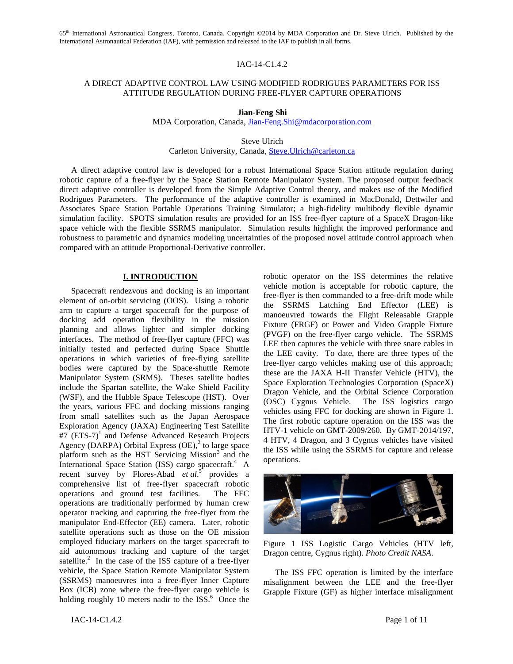## IAC-14-C1.4.2

# A DIRECT ADAPTIVE CONTROL LAW USING MODIFIED RODRIGUES PARAMETERS FOR ISS ATTITUDE REGULATION DURING FREE-FLYER CAPTURE OPERATIONS

**Jian-Feng Shi**

MDA Corporation, Canada, [Jian-Feng.Shi@mdacorporation.com](mailto:Jian-Feng.Shi@mdacorporation.com)

Steve Ulrich

Carleton University, Canada, [Steve.Ulrich@carleton.ca](mailto:Steve.Ulrich@carleton.ca)

A direct adaptive control law is developed for a robust International Space Station attitude regulation during robotic capture of a free-flyer by the Space Station Remote Manipulator System. The proposed output feedback direct adaptive controller is developed from the Simple Adaptive Control theory, and makes use of the Modified Rodrigues Parameters. The performance of the adaptive controller is examined in MacDonald, Dettwiler and Associates Space Station Portable Operations Training Simulator; a high-fidelity multibody flexible dynamic simulation facility. SPOTS simulation results are provided for an ISS free-flyer capture of a SpaceX Dragon-like space vehicle with the flexible SSRMS manipulator. Simulation results highlight the improved performance and robustness to parametric and dynamics modeling uncertainties of the proposed novel attitude control approach when compared with an attitude Proportional-Derivative controller.

### **I. INTRODUCTION**

Spacecraft rendezvous and docking is an important element of on-orbit servicing (OOS). Using a robotic arm to capture a target spacecraft for the purpose of docking add operation flexibility in the mission planning and allows lighter and simpler docking interfaces. The method of free-flyer capture (FFC) was initially tested and perfected during Space Shuttle operations in which varieties of free-flying satellite bodies were captured by the Space-shuttle Remote Manipulator System (SRMS). Theses satellite bodies include the Spartan satellite, the Wake Shield Facility (WSF), and the Hubble Space Telescope (HST). Over the years, various FFC and docking missions ranging from small satellites such as the Japan Aerospace Exploration Agency (JAXA) Engineering Test Satellite #7 (ETS-7)<sup>1</sup> and Defense Advanced Research Projects Agency (DARPA) Orbital Express (OE), 2 to large space platform such as the HST Servicing Mission<sup>3</sup> and the International Space Station (ISS) cargo spacecraft.<sup>4</sup> A recent survey by Flores-Abad *et al*. 5 provides a comprehensive list of free-flyer spacecraft robotic operations and ground test facilities. The FFC operations are traditionally performed by human crew operator tracking and capturing the free-flyer from the manipulator End-Effector (EE) camera. Later, robotic satellite operations such as those on the OE mission employed fiduciary markers on the target spacecraft to aid autonomous tracking and capture of the target satellite.<sup>2</sup> In the case of the ISS capture of a free-flyer vehicle, the Space Station Remote Manipulator System (SSRMS) manoeuvres into a free-flyer Inner Capture Box (ICB) zone where the free-flyer cargo vehicle is holding roughly 10 meters nadir to the ISS.<sup>6</sup> Once the robotic operator on the ISS determines the relative vehicle motion is acceptable for robotic capture, the free-flyer is then commanded to a free-drift mode while the SSRMS Latching End Effector (LEE) is manoeuvred towards the Flight Releasable Grapple Fixture (FRGF) or Power and Video Grapple Fixture (PVGF) on the free-flyer cargo vehicle. The SSRMS LEE then captures the vehicle with three snare cables in the LEE cavity. To date, there are three types of the free-flyer cargo vehicles making use of this approach; these are the JAXA H-II Transfer Vehicle (HTV), the Space Exploration Technologies Corporation (SpaceX) Dragon Vehicle, and the Orbital Science Corporation (OSC) Cygnus Vehicle. The ISS logistics cargo vehicles using FFC for docking are shown in [Figure 1.](#page-0-0) The first robotic capture operation on the ISS was the HTV-1 vehicle on GMT-2009/260. By GMT-2014/197, 4 HTV, 4 Dragon, and 3 Cygnus vehicles have visited the ISS while using the SSRMS for capture and release operations.



Figure 1 ISS Logistic Cargo Vehicles (HTV left, Dragon centre, Cygnus right). *Photo Credit NASA*.

<span id="page-0-0"></span>The ISS FFC operation is limited by the interface misalignment between the LEE and the free-flyer Grapple Fixture (GF) as higher interface misalignment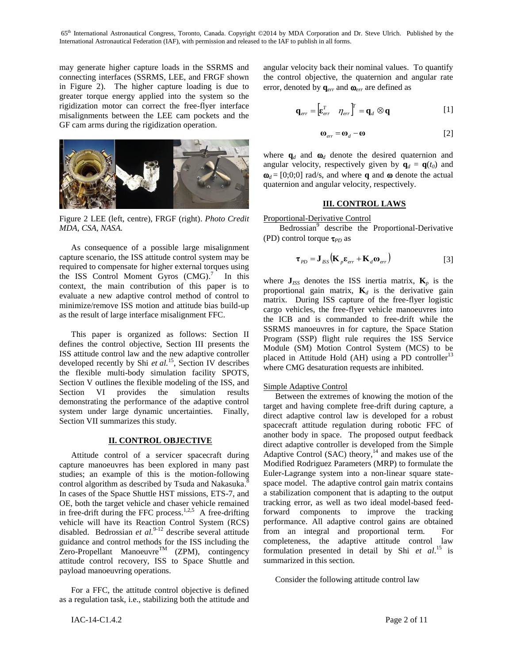may generate higher capture loads in the SSRMS and connecting interfaces (SSRMS, LEE, and FRGF shown in [Figure 2\)](#page-1-0). The higher capture loading is due to greater torque energy applied into the system so the rigidization motor can correct the free-flyer interface misalignments between the LEE cam pockets and the GF cam arms during the rigidization operation.



Figure 2 LEE (left, centre), FRGF (right). *Photo Credit MDA, CSA, NASA.*

<span id="page-1-0"></span>As consequence of a possible large misalignment capture scenario, the ISS attitude control system may be required to compensate for higher external torques using the ISS Control Moment Gyros (CMG).<sup>7</sup> In this context, the main contribution of this paper is to evaluate a new adaptive control method of control to minimize/remove ISS motion and attitude bias build-up as the result of large interface misalignment FFC.

This paper is organized as follows: Section II defines the control objective, Section III presents the ISS attitude control law and the new adaptive controller developed recently by Shi *et al.*<sup>15</sup>, Section IV describes the flexible multi-body simulation facility SPOTS, Section V outlines the flexible modeling of the ISS, and Section VI provides the simulation results demonstrating the performance of the adaptive control system under large dynamic uncertainties. Finally, Section VII summarizes this study.

## **II. CONTROL OBJECTIVE**

Attitude control of a servicer spacecraft during capture manoeuvres has been explored in many past studies; an example of this is the motion-following control algorithm as described by Tsuda and Nakasuka.<sup>8</sup> In cases of the Space Shuttle HST missions, ETS-7, and OE, both the target vehicle and chaser vehicle remained in free-drift during the FFC process.<sup>1,2,5</sup> A free-drifting vehicle will have its Reaction Control System (RCS) disabled. Bedrossian *et al.*<sup>9-12</sup> describe several attitude guidance and control methods for the ISS including the  $\overline{Z}$ ero-Propellant Manoeuvre<sup>TM</sup> (ZPM), contingency attitude control recovery, ISS to Space Shuttle and payload manoeuvring operations.

For a FFC, the attitude control objective is defined as a regulation task, i.e., stabilizing both the attitude and angular velocity back their nominal values. To quantify the control objective, the quaternion and angular rate error, denoted by  $q_{err}$  and  $\omega_{err}$  are defined as

$$
\mathbf{q}_{err} = \begin{bmatrix} \mathbf{\varepsilon}^T_{err} & \eta_{err} \end{bmatrix}^T = \mathbf{q}_d \otimes \mathbf{q}
$$
 [1]

$$
\mathbf{\omega}_{err} = \mathbf{\omega}_d - \mathbf{\omega}
$$
 [2]

where  $\mathbf{q}_d$  and  $\mathbf{\omega}_d$  denote the desired quaternion and angular velocity, respectively given by  $\mathbf{q}_d = \mathbf{q}(t_0)$  and  $\mathbf{\omega}_d = [0,0,0]$  rad/s, and where **q** and  $\omega$  denote the actual quaternion and angular velocity, respectively.

## **III. CONTROL LAWS**

Proportional-Derivative Control

Bedrossian<sup>9</sup> describe the Proportional-Derivative (PD) control torque  $\tau_{PD}$  as

$$
\boldsymbol{\tau}_{PD} = \mathbf{J}_{ISS} \left( \mathbf{K}_{p} \boldsymbol{\varepsilon}_{err} + \mathbf{K}_{d} \boldsymbol{\omega}_{err} \right)
$$
 [3]

where  $J_{ISS}$  denotes the ISS inertia matrix,  $K_p$  is the proportional gain matrix,  $\mathbf{K}_d$  is the derivative gain matrix. During ISS capture of the free-flyer logistic cargo vehicles, the free-flyer vehicle manoeuvres into the ICB and is commanded to free-drift while the SSRMS manoeuvres in for capture, the Space Station Program (SSP) flight rule requires the ISS Service Module (SM) Motion Control System (MCS) to be placed in Attitude Hold (AH) using a PD controller<sup>13</sup> where CMG desaturation requests are inhibited.

## Simple Adaptive Control

Between the extremes of knowing the motion of the target and having complete free-drift during capture, a direct adaptive control law is developed for a robust spacecraft attitude regulation during robotic FFC of another body in space. The proposed output feedback direct adaptive controller is developed from the Simple Adaptive Control (SAC) theory,<sup>14</sup> and makes use of the Modified Rodriguez Parameters (MRP) to formulate the Euler-Lagrange system into a non-linear square statespace model. The adaptive control gain matrix contains a stabilization component that is adapting to the output tracking error, as well as two ideal model-based feedforward components to improve the tracking performance. All adaptive control gains are obtained from an integral and proportional term. For completeness, the adaptive attitude control law formulation presented in detail by Shi *et al*. <sup>15</sup> is summarized in this section.

Consider the following attitude control law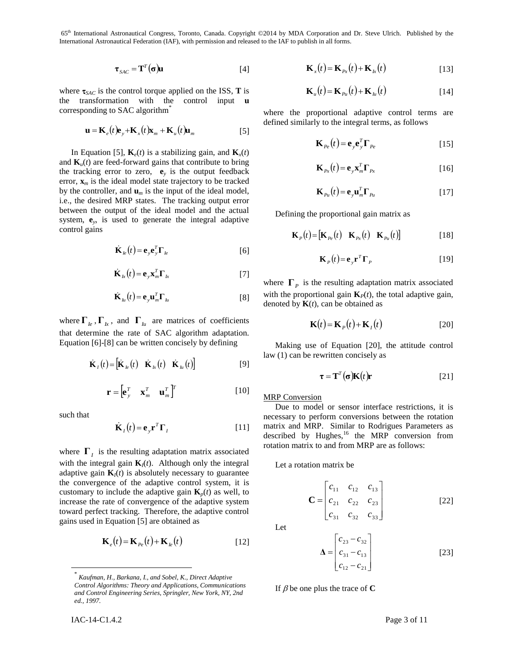$$
\boldsymbol{\tau}_{SAC} = \mathbf{T}^T(\boldsymbol{\sigma})\mathbf{u}
$$
 [4]

where  $\tau_{SAC}$  is the control torque applied on the ISS, **T** is the transformation with the control input **u** corresponding to SAC algorithm\*

$$
\mathbf{u} = \mathbf{K}_e(t)\mathbf{e}_y + \mathbf{K}_x(t)\mathbf{x}_m + \mathbf{K}_u(t)\mathbf{u}_m
$$
 [5]

In Equation [\[5\],](#page-2-0)  $\mathbf{K}_e(t)$  is a stabilizing gain, and  $\mathbf{K}_x(t)$ and  $\mathbf{K}_u(t)$  are feed-forward gains that contribute to bring the tracking error to zero,  $\mathbf{e}_y$  is the output feedback error,  $\mathbf{x}_m$  is the ideal model state trajectory to be tracked by the controller, and  $\mathbf{u}_m$  is the input of the ideal model, i.e., the desired MRP states. The tracking output error between the output of the ideal model and the actual system, **e***<sup>y</sup>* , is used to generate the integral adaptive control gains

$$
\dot{\mathbf{K}}_{le}(t) = \mathbf{e}_y \mathbf{e}_y^T \mathbf{\Gamma}_{le}
$$
 [6]

$$
\dot{\mathbf{K}}_{k}(t) = \mathbf{e}_{y} \mathbf{x}_{m}^{T} \mathbf{\Gamma}_{k} \tag{7}
$$

$$
\dot{\mathbf{K}}_{I_{\mathcal{U}}}(t) = \mathbf{e}_{\mathcal{Y}} \mathbf{u}_{m}^{T} \boldsymbol{\Gamma}_{I_{\mathcal{U}}} \tag{8}
$$

where  $\Gamma_{Ie}$ ,  $\Gamma_{Ix}$ , and  $\Gamma_{Iu}$  are matrices of coefficients that determine the rate of SAC algorithm adaptation. Equation [\[6\]](#page-2-1)[-\[8\]](#page-2-2) can be written concisely by defining

$$
\dot{\mathbf{K}}_{I}(t) = \begin{bmatrix} \dot{\mathbf{K}}_{I} \cdot (t) & \dot{\mathbf{K}}_{I} \cdot (t) & \dot{\mathbf{K}}_{I} \cdot (t) \end{bmatrix}
$$
 [9]

$$
\mathbf{r} = \begin{bmatrix} \mathbf{e}_y^T & \mathbf{x}_m^T & \mathbf{u}_m^T \end{bmatrix}^T
$$
 [10]

such that

l

$$
\dot{\mathbf{K}}_I(t) = \mathbf{e}_{y} \mathbf{r}^T \boldsymbol{\Gamma}_I
$$
 [11]

where  $\Gamma$ <sub>*I*</sub> is the resulting adaptation matrix associated with the integral gain  $\mathbf{K}_I(t)$ . Although only the integral adaptive gain  $\mathbf{K}_I(t)$  is absolutely necessary to guarantee the convergence of the adaptive control system, it is customary to include the adaptive gain  $\mathbf{K}_p(t)$  as well, to increase the rate of convergence of the adaptive system toward perfect tracking. Therefore, the adaptive control gains used in Equation [\[5\]](#page-2-0) are obtained as

$$
\mathbf{K}_e(t) = \mathbf{K}_{Pe}(t) + \mathbf{K}_{le}(t)
$$
\n[12]

$$
\mathbf{K}_x(t) = \mathbf{K}_{Px}(t) + \mathbf{K}_{lx}(t)
$$
 [13]

$$
\mathbf{K}_{u}(t) = \mathbf{K}_{Pu}(t) + \mathbf{K}_{lu}(t)
$$
 [14]

<span id="page-2-0"></span>where the proportional adaptive control terms are defined similarly to the integral terms, as follows

$$
\mathbf{K}_{P_e}(t) = \mathbf{e}_y \mathbf{e}_y^T \mathbf{\Gamma}_{P_e}
$$
 [15]

$$
\mathbf{K}_{P_{\mathcal{X}}}(t) = \mathbf{e}_{\mathcal{Y}} \mathbf{x}_{m}^{T} \mathbf{\Gamma}_{P_{\mathcal{X}}} \tag{16}
$$

$$
\mathbf{K}_{p_u}(t) = \mathbf{e}_y \mathbf{u}_m^T \mathbf{\Gamma}_{p_u}
$$
 [17]

Defining the proportional gain matrix as

$$
\mathbf{K}_{P}(t) = [\mathbf{K}_{P_e}(t) \quad \mathbf{K}_{P_x}(t) \quad \mathbf{K}_{P_u}(t)] \tag{18}
$$

$$
\mathbf{K}_P(t) = \mathbf{e}_y \mathbf{r}^T \mathbf{\Gamma}_P
$$
 [19]

<span id="page-2-2"></span><span id="page-2-1"></span>where  $\Gamma_p$  is the resulting adaptation matrix associated with the proportional gain  $\mathbf{K}_P(t)$ , the total adaptive gain, denoted by  $\mathbf{K}(t)$ , can be obtained as

<span id="page-2-3"></span>
$$
\mathbf{K}(t) = \mathbf{K}_P(t) + \mathbf{K}_I(t)
$$
 [20]

Making use of Equation [\[20\],](#page-2-3) the attitude control law (1) can be rewritten concisely as

$$
\boldsymbol{\tau} = \mathbf{T}^T(\boldsymbol{\sigma})\mathbf{K}(t)\mathbf{r}
$$
 [21]

**MRP** Conversion

Due to model or sensor interface restrictions, it is necessary to perform conversions between the rotation matrix and MRP. Similar to Rodrigues Parameters as described by Hughes,<sup>16</sup> the MRP conversion from rotation matrix to and from MRP are as follows:

Let a rotation matrix be

$$
\mathbf{C} = \begin{bmatrix} c_{11} & c_{12} & c_{13} \\ c_{21} & c_{22} & c_{23} \\ c_{31} & c_{32} & c_{33} \end{bmatrix}
$$
 [22]

Let

$$
\Delta = \begin{bmatrix} c_{23} - c_{32} \\ c_{31} - c_{13} \\ c_{12} - c_{21} \end{bmatrix}
$$
 [23]

If  $\beta$  be one plus the trace of **C** 

<sup>\*</sup> *Kaufman, H., Barkana, I., and Sobel, K., Direct Adaptive Control Algorithms: Theory and Applications, Communications and Control Engineering Series, Springler, New York, NY, 2nd ed., 1997.*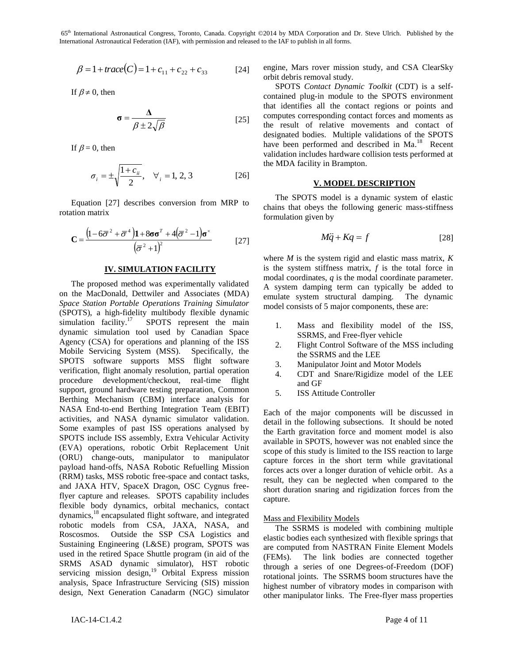$$
\beta = 1 + trace(C) = 1 + c_{11} + c_{22} + c_{33} \tag{24}
$$

If  $\beta \neq 0$ , then

$$
\sigma = \frac{\Delta}{\beta \pm 2\sqrt{\beta}}
$$
 [25]

If  $\beta = 0$ , then

$$
\sigma_i = \pm \sqrt{\frac{1 + c_{ii}}{2}}, \quad \forall_i = 1, 2, 3 \tag{26}
$$

Equation [\[27\]](#page-3-0) describes conversion from MRP to rotation matrix

$$
\mathbf{C} = \frac{\left(1 - 6\overline{\sigma}^2 + \overline{\sigma}^4\right)\mathbf{1} + 8\sigma\sigma^T + 4(\overline{\sigma}^2 - 1)\sigma^*}{\left(\overline{\sigma}^2 + 1\right)^2} \tag{27}
$$

#### **IV. SIMULATION FACILITY**

 $β = 1 + r_0x_0c(β) = 1 + c_1 + c_2 + c_7$ <br>
(a) experiment Materix minios studies (x,61 Ko<br>
contained the studies of 12.6 CM (x,61 CM)<br>
(a) contained plug in metallic to the SPOTS energies<br>
(x,61 CM) and (x,61 CM) and (x,61 CM) a The proposed method was experimentally validated on the MacDonald, Dettwiler and Associates (MDA) *Space Station Portable Operations Training Simulator* (SPOTS), a high-fidelity multibody flexible dynamic simulation facility. $17$ SPOTS represent the main dynamic simulation tool used by Canadian Space Agency (CSA) for operations and planning of the ISS Mobile Servicing System (MSS). Specifically, the SPOTS software supports MSS flight software verification, flight anomaly resolution, partial operation procedure development/checkout, real-time flight support, ground hardware testing preparation, Common Berthing Mechanism (CBM) interface analysis for NASA End-to-end Berthing Integration Team (EBIT) activities, and NASA dynamic simulator validation. Some examples of past ISS operations analysed by SPOTS include ISS assembly, Extra Vehicular Activity (EVA) operations, robotic Orbit Replacement Unit (ORU) change-outs, manipulator to manipulator payload hand-offs, NASA Robotic Refuelling Mission (RRM) tasks, MSS robotic free-space and contact tasks, and JAXA HTV, SpaceX Dragon, OSC Cygnus freeflyer capture and releases. SPOTS capability includes flexible body dynamics, orbital mechanics, contact dynamics, <sup>18</sup> encapsulated flight software, and integrated robotic models from CSA, JAXA, NASA, and Roscosmos. Outside the SSP CSA Logistics and Sustaining Engineering (L&SE) program, SPOTS was used in the retired Space Shuttle program (in aid of the SRMS ASAD dynamic simulator), HST robotic servicing mission design,<sup>19</sup> Orbital Express mission analysis, Space Infrastructure Servicing (SIS) mission design, Next Generation Canadarm (NGC) simulator

engine, Mars rover mission study, and CSA ClearSky orbit debris removal study.

SPOTS *Contact Dynamic Toolkit* (CDT) is a selfcontained plug-in module to the SPOTS environment that identifies all the contact regions or points and computes corresponding contact forces and moments as the result of relative movements and contact of designated bodies. Multiple validations of the SPOTS have been performed and described in Ma.<sup>18</sup> Recent validation includes hardware collision tests performed at the MDA facility in Brampton.

## **V. MODEL DESCRIPTION**

The SPOTS model is a dynamic system of elastic chains that obeys the following generic mass-stiffness formulation given by

$$
M\ddot{q} + Kq = f \tag{28}
$$

<span id="page-3-0"></span>where *M* is the system rigid and elastic mass matrix, *K* is the system stiffness matrix, *f* is the total force in modal coordinates, *q* is the modal coordinate parameter. A system damping term can typically be added to emulate system structural damping. The dynamic model consists of 5 major components, these are:

- 1. Mass and flexibility model of the ISS, SSRMS, and Free-flyer vehicle
- 2. Flight Control Software of the MSS including the SSRMS and the LEE
- 3. Manipulator Joint and Motor Models
- 4. CDT and Snare/Rigidize model of the LEE and GF
- 5. ISS Attitude Controller

Each of the major components will be discussed in detail in the following subsections. It should be noted the Earth gravitation force and moment model is also available in SPOTS, however was not enabled since the scope of this study is limited to the ISS reaction to large capture forces in the short term while gravitational forces acts over a longer duration of vehicle orbit. As a result, they can be neglected when compared to the short duration snaring and rigidization forces from the capture.

### Mass and Flexibility Models

The SSRMS is modeled with combining multiple elastic bodies each synthesized with flexible springs that are computed from NASTRAN Finite Element Models (FEMs). The link bodies are connected together through a series of one Degrees-of-Freedom (DOF) rotational joints. The SSRMS boom structures have the highest number of vibratory modes in comparison with other manipulator links. The Free-flyer mass properties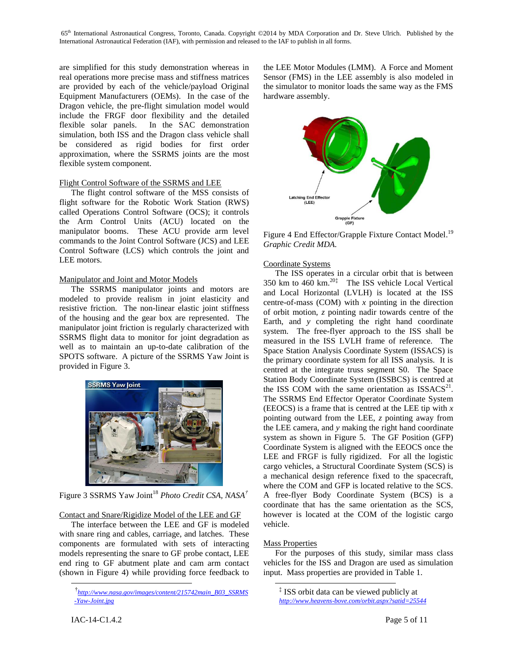are simplified for this study demonstration whereas in real operations more precise mass and stiffness matrices are provided by each of the vehicle/payload Original Equipment Manufacturers (OEMs). In the case of the Dragon vehicle, the pre-flight simulation model would include the FRGF door flexibility and the detailed flexible solar panels. In the SAC demonstration simulation, both ISS and the Dragon class vehicle shall be considered as rigid bodies for first order approximation, where the SSRMS joints are the most flexible system component.

## Flight Control Software of the SSRMS and LEE

The flight control software of the MSS consists of flight software for the Robotic Work Station (RWS) called Operations Control Software (OCS); it controls the Arm Control Units (ACU) located on the manipulator booms. These ACU provide arm level commands to the Joint Control Software (JCS) and LEE Control Software (LCS) which controls the joint and LEE motors.

# Manipulator and Joint and Motor Models

The SSRMS manipulator joints and motors are modeled to provide realism in joint elasticity and resistive friction. The non-linear elastic joint stiffness of the housing and the gear box are represented. The manipulator joint friction is regularly characterized with SSRMS flight data to monitor for joint degradation as well as to maintain an up-to-date calibration of the SPOTS software. A picture of the SSRMS Yaw Joint is provided in [Figure 3.](#page-4-0)



<span id="page-4-0"></span>Figure 3 SSRMS Yaw Joint<sup>18</sup> *Photo Credit CSA, NASA<sup>†</sup>* 

# Contact and Snare/Rigidize Model of the LEE and GF

The interface between the LEE and GF is modeled with snare ring and cables, carriage, and latches. These components are formulated with sets of interacting models representing the snare to GF probe contact, LEE end ring to GF abutment plate and cam arm contact (shown in [Figure 4\)](#page-4-1) while providing force feedback to

the LEE Motor Modules (LMM). A Force and Moment Sensor (FMS) in the LEE assembly is also modeled in the simulator to monitor loads the same way as the FMS hardware assembly.



<span id="page-4-1"></span>Figure 4 End Effector/Grapple Fixture Contact Model.<sup>19</sup> *Graphic Credit MDA.*

# Coordinate Systems

The ISS operates in a circular orbit that is between 350 km to  $460 \text{ km.}^{20}$  The ISS vehicle Local Vertical and Local Horizontal (LVLH) is located at the ISS centre-of-mass (COM) with *x* pointing in the direction of orbit motion, *z* pointing nadir towards centre of the Earth, and *y* completing the right hand coordinate system. The free-flyer approach to the ISS shall be measured in the ISS LVLH frame of reference. The Space Station Analysis Coordinate System (ISSACS) is the primary coordinate system for all ISS analysis. It is centred at the integrate truss segment S0. The Space Station Body Coordinate System (ISSBCS) is centred at the ISS COM with the same orientation as  $ISSACS<sup>21</sup>$ . The SSRMS End Effector Operator Coordinate System (EEOCS) is a frame that is centred at the LEE tip with *x* pointing outward from the LEE, *z* pointing away from the LEE camera, and *y* making the right hand coordinate system as shown in [Figure 5.](#page-5-0) The GF Position (GFP) Coordinate System is aligned with the EEOCS once the LEE and FRGF is fully rigidized. For all the logistic cargo vehicles, a Structural Coordinate System (SCS) is a mechanical design reference fixed to the spacecraft, where the COM and GFP is located relative to the SCS. A free-flyer Body Coordinate System (BCS) is a coordinate that has the same orientation as the SCS, however is located at the COM of the logistic cargo vehicle.

# Mass Properties

 $\overline{a}$ 

For the purposes of this study, similar mass class vehicles for the ISS and Dragon are used as simulation input. Mass properties are provided in [Table 1.](#page-5-1)

l

<sup>†</sup> *[http://www.nasa.gov/images/content/215742main\\_B03\\_SSRMS](http://www.nasa.gov/images/content/215742main_B03_SSRMS-Yaw-Joint.jpg) [-Yaw-Joint.jpg](http://www.nasa.gov/images/content/215742main_B03_SSRMS-Yaw-Joint.jpg)*

<sup>‡</sup> ISS orbit data can be viewed publicly at *<http://www.heavens-bove.com/orbit.aspx?satid=25544>*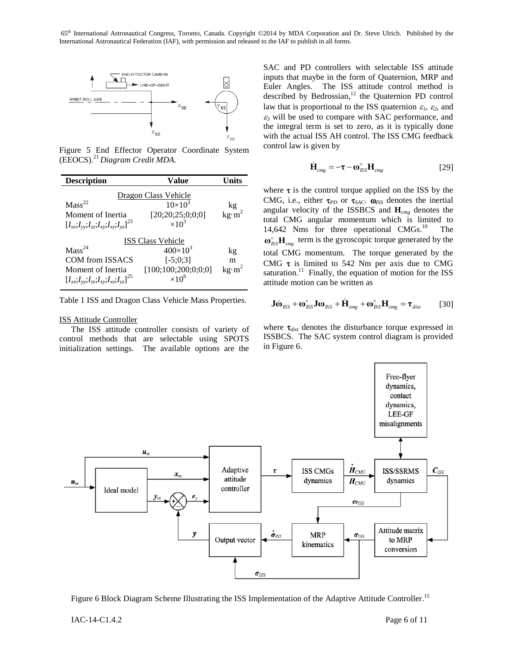

<span id="page-5-0"></span>Figure 5 End Effector Operator Coordinate System (EEOCS). <sup>21</sup> *Diagram Credit MDA.*

| <b>Description</b>                                 | Value               | Units                                        |  |
|----------------------------------------------------|---------------------|----------------------------------------------|--|
| <b>Dragon Class Vehicle</b>                        |                     |                                              |  |
| Mass <sup>22</sup>                                 | $10\times10^{3}$    |                                              |  |
| Moment of Inertia                                  | [20;20;25;0;0;0]    | $\frac{\text{kg}}{\text{kg}\cdot\text{m}^2}$ |  |
| $[I_{xx};I_{yy};I_{zz};I_{xy};I_{xz};I_{yz}]^{23}$ | $\times 10^3$       |                                              |  |
| <b>ISS Class Vehicle</b>                           |                     |                                              |  |
| Mass <sup>24</sup>                                 | $400\times10^{3}$   | kg                                           |  |
| COM from ISSACS                                    | $[-5:0:3]$          | m                                            |  |
| Moment of Inertia                                  | [100;100;200;0;0;0] | kg·m <sup>2</sup>                            |  |
| $[I_{xx};I_{yy};I_{zz};I_{xy};I_{xz};I_{yz}]^{25}$ | $\times10^6$        |                                              |  |

<span id="page-5-1"></span>Table 1 ISS and Dragon Class Vehicle Mass Properties.

#### ISS Attitude Controller

The ISS attitude controller consists of variety of control methods that are selectable using SPOTS initialization settings. The available options are the SAC and PD controllers with selectable ISS attitude inputs that maybe in the form of Quaternion, MRP and Euler Angles. The ISS attitude control method is described by Bedrossian, <sup>12</sup> the Quaternion PD control law that is proportional to the ISS quaternion  $\varepsilon_1$ ,  $\varepsilon_2$ , and  $\epsilon_3$  will be used to compare with SAC performance, and the integral term is set to zero, as it is typically done with the actual ISS AH control. The ISS CMG feedback control law is given by

$$
\dot{\mathbf{H}}_{cmg} = -\boldsymbol{\tau} - \boldsymbol{\omega}_{ISS}^{\times} \mathbf{H}_{cmg}
$$
 [29]

where  $\tau$  is the control torque applied on the ISS by the CMG, i.e., either  $\tau_{PD}$  or  $\tau_{SAC}$ .  $\omega_{ISS}$  denotes the inertial angular velocity of the ISSBCS and **H***cmg* denotes the total CMG angular momentum which is limited to 14,642 Nms for three operational CMGs.<sup>10</sup> The  $\omega_{\text{ISS}}^{\times}$ **H**<sub>*cmg*</sub> term is the gyroscopic torque generated by the total CMG momentum. The torque generated by the CMG  $\tau$  is limited to 542 Nm per axis due to CMG saturation.<sup>11</sup> Finally, the equation of motion for the ISS attitude motion can be written as

$$
\mathbf{J}\dot{\mathbf{\omega}}_{BS} + \mathbf{\omega}_{BS}^* \mathbf{J} \mathbf{\omega}_{BS} + \dot{\mathbf{H}}_{cmg} + \mathbf{\omega}_{BS}^* \mathbf{H}_{cmg} = \boldsymbol{\tau}_{dist}
$$
 [30]

where  $\tau_{dist}$  denotes the disturbance torque expressed in ISSBCS. The SAC system control diagram is provided i[n Figure 6.](#page-5-2)



<span id="page-5-2"></span>Figure 6 Block Diagram Scheme Illustrating the ISS Implementation of the Adaptive Attitude Controller.<sup>15</sup>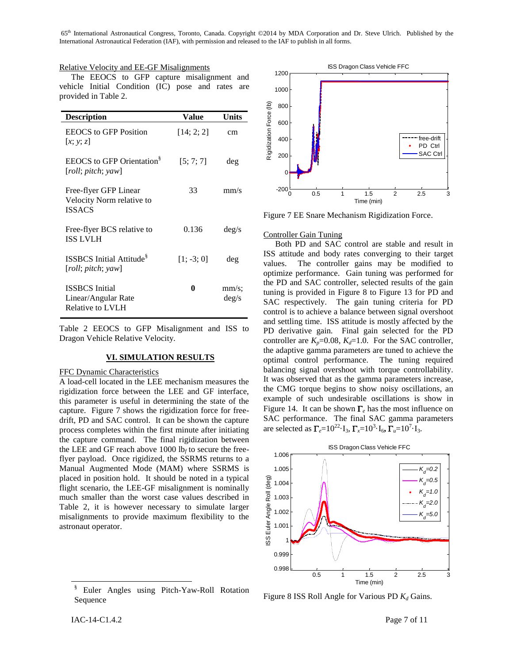# Relative Velocity and EE-GF Misalignments

The EEOCS to GFP capture misalignment and vehicle Initial Condition (IC) pose and rates are provided in [Table 2.](#page-6-0)

| <b>Description</b>                                                  | Value        | Units                      |
|---------------------------------------------------------------------|--------------|----------------------------|
| <b>EEOCS</b> to GFP Position<br>[x; y; z]                           | [14; 2; 2]   | cm                         |
| <b>EEOCS</b> to GFP Orientation <sup>§</sup><br>[roll; pitch; yaw]  | [5:7:7]      | deg                        |
| Free-flyer GFP Linear<br>Velocity Norm relative to<br><b>ISSACS</b> | 33           | mm/s                       |
| Free-flyer BCS relative to<br><b>ISS LVLH</b>                       | 0.136        | $\text{deg/s}$             |
| <b>ISSBCS</b> Initial Attitude <sup>§</sup><br>[roll; pitch; yaw]   | $[1; -3; 0]$ | deg                        |
| <b>ISSBCS</b> Initial<br>Linear/Angular Rate<br>Relative to LVLH    | 0            | $mm/s$ :<br>$\text{deg/s}$ |

<span id="page-6-0"></span>Table 2 EEOCS to GFP Misalignment and ISS to Dragon Vehicle Relative Velocity.

#### **VI. SIMULATION RESULTS**

## FFC Dynamic Characteristics

A load-cell located in the LEE mechanism measures the rigidization force between the LEE and GF interface, this parameter is useful in determining the state of the capture. [Figure 7](#page-6-1) shows the rigidization force for freedrift, PD and SAC control. It can be shown the capture process completes within the first minute after initiating the capture command. The final rigidization between the LEE and GF reach above  $1000$  lb<sub>f</sub> to secure the freeflyer payload. Once rigidized, the SSRMS returns to a Manual Augmented Mode (MAM) where SSRMS is placed in position hold. It should be noted in a typical flight scenario, the LEE-GF misalignment is nominally much smaller than the worst case values described in [Table 2,](#page-6-0) it is however necessary to simulate larger misalignments to provide maximum flexibility to the astronaut operator.



<span id="page-6-1"></span>Figure 7 EE Snare Mechanism Rigidization Force.

## Controller Gain Tuning

Both PD and SAC control are stable and result in ISS attitude and body rates converging to their target values. The controller gains may be modified to optimize performance. Gain tuning was performed for the PD and SAC controller, selected results of the gain tuning is provided in [Figure 8](#page-6-2) to [Figure 13](#page-7-0) for PD and SAC respectively. The gain tuning criteria for PD control is to achieve a balance between signal overshoot and settling time. ISS attitude is mostly affected by the PD derivative gain. Final gain selected for the PD controller are  $K_p$ =0.08,  $K_d$ =1.0. For the SAC controller, the adaptive gamma parameters are tuned to achieve the optimal control performance. The tuning required balancing signal overshoot with torque controllability. It was observed that as the gamma parameters increase, the CMG torque begins to show noisy oscillations, an example of such undesirable oscillations is show in [Figure 14.](#page-7-1) It can be shown  $\Gamma_e$  has the most influence on SAC performance. The final SAC gamma parameters are selected as  $\Gamma_e = 10^{22} \cdot I_3$ ,  $\Gamma_x = 10^3 \cdot I_6$ ,  $\Gamma_u = 10^7 \cdot I_3$ .



<span id="page-6-2"></span>Figure 8 ISS Roll Angle for Various PD *K<sup>d</sup>* Gains.

l

<sup>§</sup> Euler Angles using Pitch-Yaw-Roll Rotation Sequence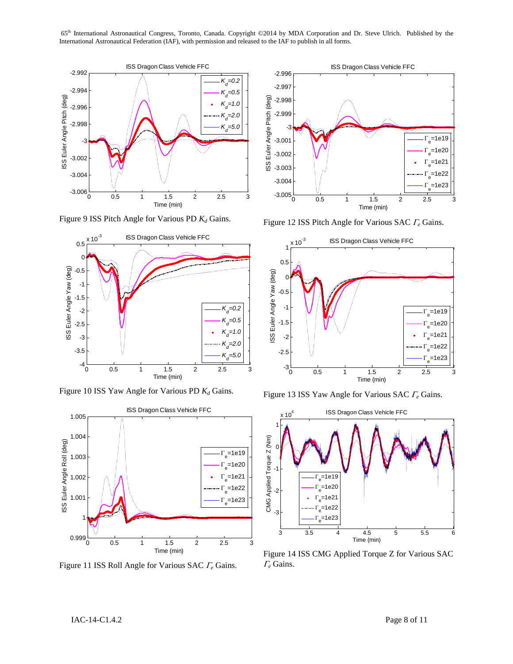

Figure 9 ISS Pitch Angle for Various PD *K<sup>d</sup>* Gains.



Figure 10 ISS Yaw Angle for Various PD *K<sup>d</sup>* Gains.



Figure 11 ISS Roll Angle for Various SAC  $\Gamma_e$  Gains.



Figure 12 ISS Pitch Angle for Various SAC  $\Gamma_e$  Gains.



<span id="page-7-0"></span>Figure 13 ISS Yaw Angle for Various SAC  $\Gamma_e$  Gains.



<span id="page-7-1"></span>Figure 14 ISS CMG Applied Torque Z for Various SAC  $\Gamma_e$  Gains.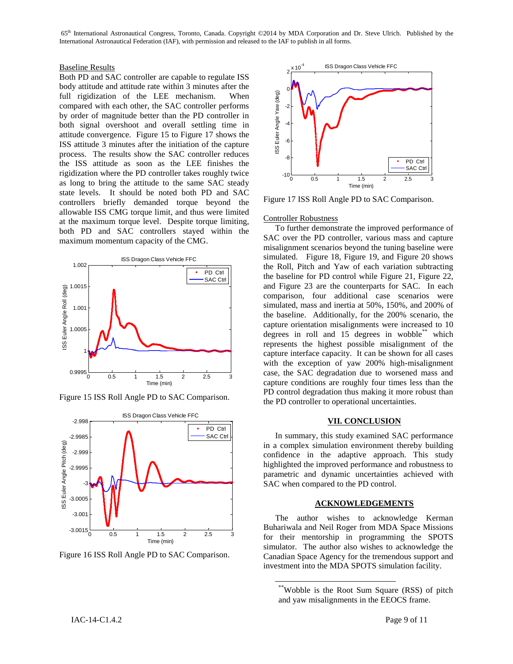# Baseline Results

Both PD and SAC controller are capable to regulate ISS body attitude and attitude rate within 3 minutes after the full rigidization of the LEE mechanism. When compared with each other, the SAC controller performs by order of magnitude better than the PD controller in both signal overshoot and overall settling time in attitude convergence. [Figure 15](#page-8-0) to [Figure 17](#page-8-1) shows the ISS attitude 3 minutes after the initiation of the capture process. The results show the SAC controller reduces the ISS attitude as soon as the LEE finishes the rigidization where the PD controller takes roughly twice as long to bring the attitude to the same SAC steady state levels. It should be noted both PD and SAC controllers briefly demanded torque beyond the allowable ISS CMG torque limit, and thus were limited at the maximum torque level. Despite torque limiting, both PD and SAC controllers stayed within the maximum momentum capacity of the CMG.



<span id="page-8-0"></span>Figure 15 ISS Roll Angle PD to SAC Comparison.



Figure 16 ISS Roll Angle PD to SAC Comparison.



<span id="page-8-1"></span>Figure 17 ISS Roll Angle PD to SAC Comparison.

## Controller Robustness

To further demonstrate the improved performance of SAC over the PD controller, various mass and capture misalignment scenarios beyond the tuning baseline were simulated. [Figure 18,](#page-9-0) [Figure 19,](#page-9-1) and [Figure 20](#page-9-2) shows the Roll, Pitch and Yaw of each variation subtracting the baseline for PD control while [Figure 21,](#page-9-3) [Figure 22,](#page-9-4) and [Figure 23](#page-9-5) are the counterparts for SAC. In each comparison, four additional case scenarios were simulated, mass and inertia at 50%, 150%, and 200% of the baseline. Additionally, for the 200% scenario, the capture orientation misalignments were increased to 10 degrees in roll and 15 degrees in wobble\*\* which represents the highest possible misalignment of the capture interface capacity. It can be shown for all cases with the exception of yaw 200% high-misalignment case, the SAC degradation due to worsened mass and capture conditions are roughly four times less than the PD control degradation thus making it more robust than the PD controller to operational uncertainties.

## **VII. CONCLUSION**

In summary, this study examined SAC performance in a complex simulation environment thereby building confidence in the adaptive approach. This study highlighted the improved performance and robustness to parametric and dynamic uncertainties achieved with SAC when compared to the PD control.

# **ACKNOWLEDGEMENTS**

The author wishes to acknowledge Kerman Buhariwala and Neil Roger from MDA Space Missions for their mentorship in programming the SPOTS simulator. The author also wishes to acknowledge the Canadian Space Agency for the tremendous support and investment into the MDA SPOTS simulation facility.

 $\overline{a}$ 

<sup>\*\*</sup>Wobble is the Root Sum Square (RSS) of pitch and yaw misalignments in the EEOCS frame.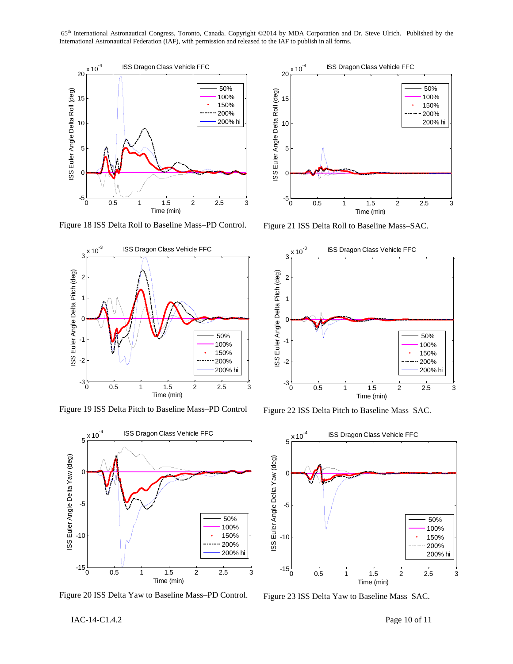

<span id="page-9-0"></span>Figure 18 ISS Delta Roll to Baseline Mass–PD Control.



<span id="page-9-1"></span>Figure 19 ISS Delta Pitch to Baseline Mass–PD Control



<span id="page-9-2"></span>Figure 20 ISS Delta Yaw to Baseline Mass–PD Control.



<span id="page-9-3"></span>Figure 21 ISS Delta Roll to Baseline Mass–SAC.



<span id="page-9-4"></span>Figure 22 ISS Delta Pitch to Baseline Mass–SAC.



<span id="page-9-5"></span>Figure 23 ISS Delta Yaw to Baseline Mass–SAC.

IAC-14-C1.4.2 Page 10 of 11